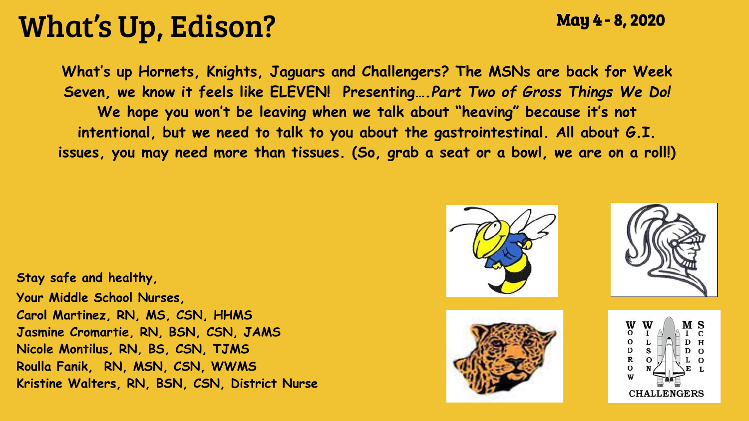## What's Up, Edison?

May 4 - 8, 2020

**What's up Hornets, Knights, Jaguars and Challengers? The MSNs are back for Week Seven, we know it feels like ELEVEN! Presenting….***Part Two of Gross Things We Do!*  **We hope you won't be leaving when we talk about "heaving" because it's not intentional, but we need to talk to you about the gastrointestinal. All about G.I. issues, you may need more than tissues. (So, grab a seat or a bowl, we are on a roll!)**

**Stay safe and healthy, Your Middle School Nurses, Carol Martinez, RN, MS, CSN, HHMS Jasmine Cromartie, RN, BSN, CSN, JAMS Nicole Montilus, RN, BS, CSN, TJMS Roulla Fanik, RN, MSN, CSN, WWMS Kristine Walters, RN, BSN, CSN, District Nurse**





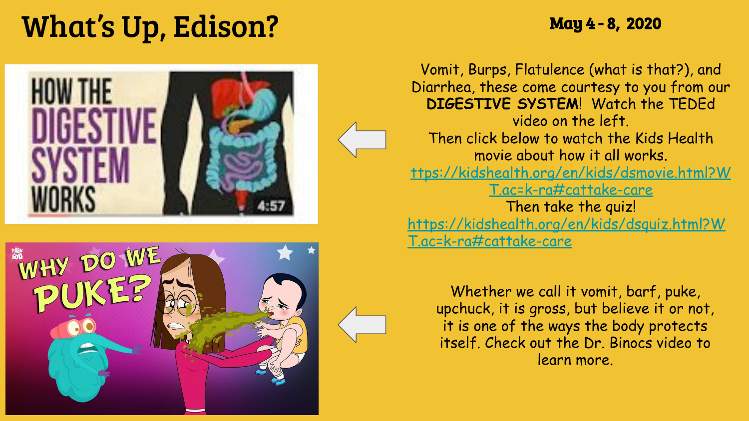# What's Up, Edison? May 4-8, 2020





Vomit, Burps, Flatulence (what is that?), and Diarrhea, these come courtesy to you from our **DIGESTIVE SYSTEM**! Watch the TEDEd video on the left. Then click below to watch the Kids Health movie about how it all works. [ttps://kidshealth.org/en/kids/dsmovie.html?W](https://kidshealth.org/en/kids/dsmovie.html?WT.ac=k-ra#cattake-care) [T.ac=k-ra#cattake-care](https://kidshealth.org/en/kids/dsmovie.html?WT.ac=k-ra#cattake-care) Then take the quiz! [https://kidshealth.org/en/kids/dsquiz.html?W](https://kidshealth.org/en/kids/dsquiz.html?WT.ac=k-ra#cattake-care) [T.ac=k-ra#cattake-care](https://kidshealth.org/en/kids/dsquiz.html?WT.ac=k-ra#cattake-care)

Whether we call it vomit, barf, puke, upchuck, it is gross, but believe it or not, it is one of the ways the body protects itself. Check out the Dr. Binocs video to learn more.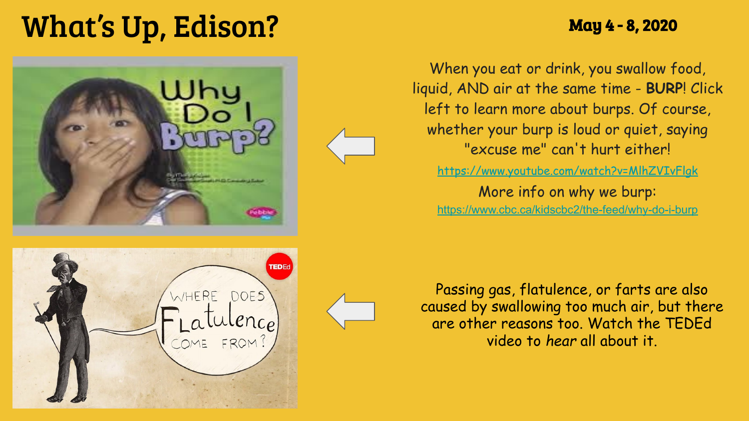# What's Up, Edison? *May 4 - 8, 2020*





More info on why we burp:

<https://www.cbc.ca/kidscbc2/the-feed/why-do-i-burp>



Passing gas, flatulence, or farts are also caused by swallowing too much air, but there are other reasons too. Watch the TEDEd video to *hear* all about it.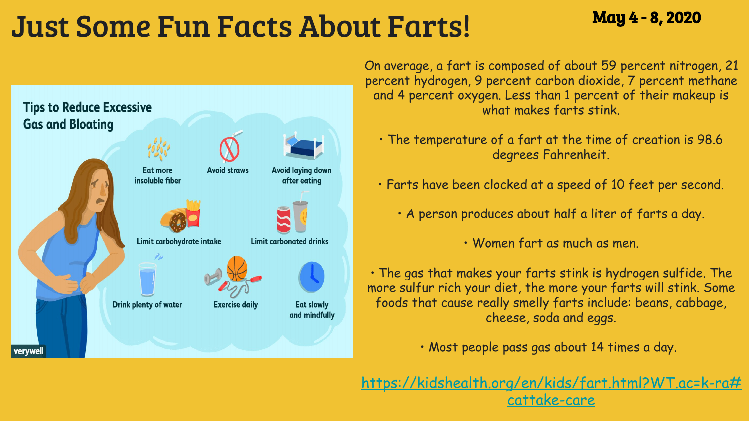## Just Some Fun Facts About Farts!May 4 - 8, 2020



On average, a fart is composed of about 59 percent nitrogen, 21 percent hydrogen, 9 percent carbon dioxide, 7 percent methane and 4 percent oxygen. Less than 1 percent of their makeup is what makes farts stink.

- The temperature of a fart at the time of creation is 98.6 degrees Fahrenheit.
- Farts have been clocked at a speed of 10 feet per second.
	- A person produces about half a liter of farts a day.

• Women fart as much as men.

• The gas that makes your farts stink is hydrogen sulfide. The more sulfur rich your diet, the more your farts will stink. Some foods that cause really smelly farts include: beans, cabbage, cheese, soda and eggs.

• Most people pass gas about 14 times a day.

[https://kidshealth.org/en/kids/fart.html?WT.ac=k-ra#](https://kidshealth.org/en/kids/fart.html?WT.ac=k-ra#cattake-care) <u>[cattake-care](https://kidshealth.org/en/kids/fart.html?WT.ac=k-ra#cattake-care)</u>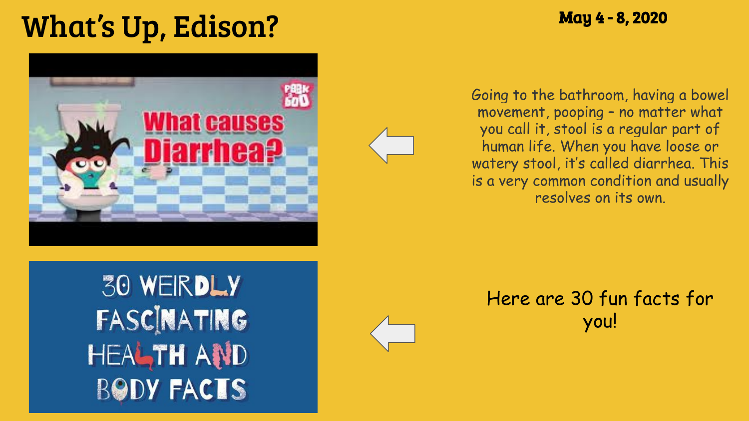# What's Up, Edison? May 4 - 8, 2020





Going to the bathroom, having a bowel movement, pooping – no matter what you call it, stool is a regular part of human life. When you have loose or watery stool, it's called diarrhea. This is a very common condition and usually resolves on its own.

**30 WEIRDLY** FASCINATING **HEALTH AND BODY FACTS**